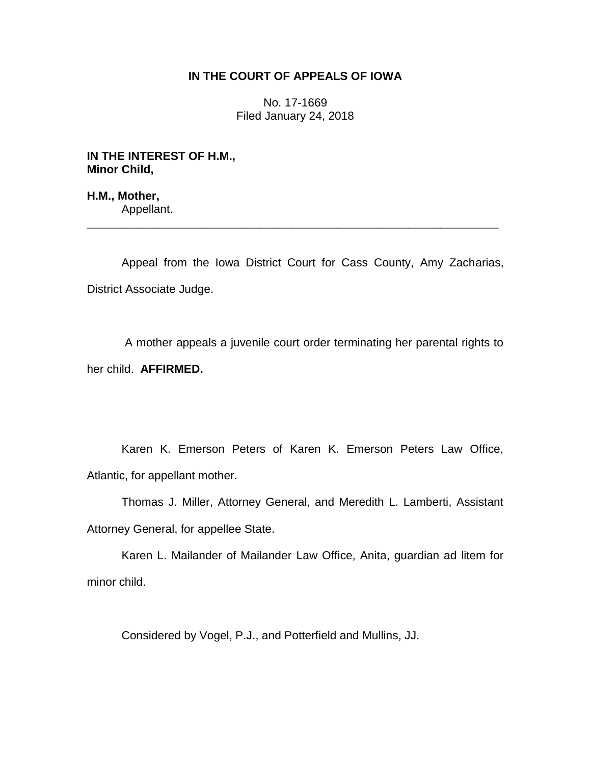## **IN THE COURT OF APPEALS OF IOWA**

No. 17-1669 Filed January 24, 2018

**IN THE INTEREST OF H.M., Minor Child,**

**H.M., Mother,** Appellant.

Appeal from the Iowa District Court for Cass County, Amy Zacharias, District Associate Judge.

\_\_\_\_\_\_\_\_\_\_\_\_\_\_\_\_\_\_\_\_\_\_\_\_\_\_\_\_\_\_\_\_\_\_\_\_\_\_\_\_\_\_\_\_\_\_\_\_\_\_\_\_\_\_\_\_\_\_\_\_\_\_\_\_

A mother appeals a juvenile court order terminating her parental rights to her child. **AFFIRMED.** 

Karen K. Emerson Peters of Karen K. Emerson Peters Law Office, Atlantic, for appellant mother.

Thomas J. Miller, Attorney General, and Meredith L. Lamberti, Assistant Attorney General, for appellee State.

Karen L. Mailander of Mailander Law Office, Anita, guardian ad litem for minor child.

Considered by Vogel, P.J., and Potterfield and Mullins, JJ.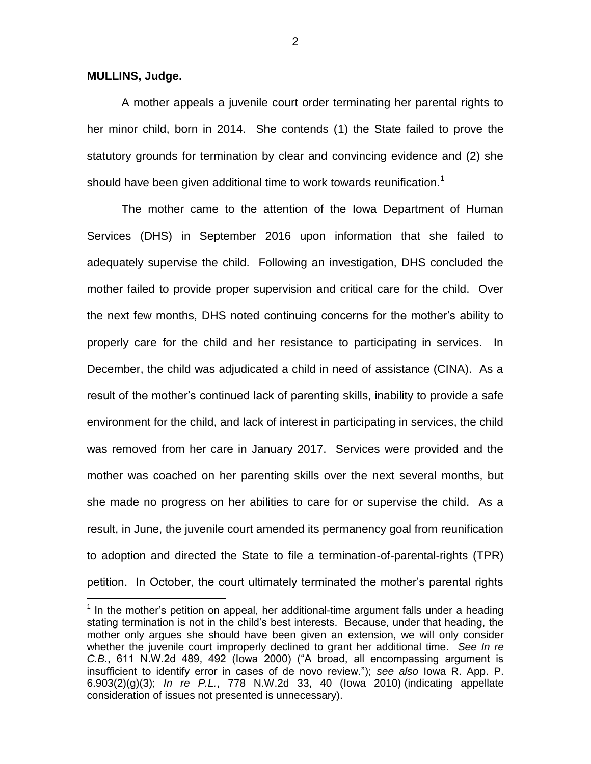**MULLINS, Judge.**

 $\overline{a}$ 

A mother appeals a juvenile court order terminating her parental rights to her minor child, born in 2014. She contends (1) the State failed to prove the statutory grounds for termination by clear and convincing evidence and (2) she should have been given additional time to work towards reunification. $1$ 

The mother came to the attention of the Iowa Department of Human Services (DHS) in September 2016 upon information that she failed to adequately supervise the child. Following an investigation, DHS concluded the mother failed to provide proper supervision and critical care for the child. Over the next few months, DHS noted continuing concerns for the mother's ability to properly care for the child and her resistance to participating in services. In December, the child was adjudicated a child in need of assistance (CINA). As a result of the mother's continued lack of parenting skills, inability to provide a safe environment for the child, and lack of interest in participating in services, the child was removed from her care in January 2017. Services were provided and the mother was coached on her parenting skills over the next several months, but she made no progress on her abilities to care for or supervise the child. As a result, in June, the juvenile court amended its permanency goal from reunification to adoption and directed the State to file a termination-of-parental-rights (TPR) petition. In October, the court ultimately terminated the mother's parental rights

2

 $1$  In the mother's petition on appeal, her additional-time argument falls under a heading stating termination is not in the child's best interests. Because, under that heading, the mother only argues she should have been given an extension, we will only consider whether the juvenile court improperly declined to grant her additional time. *See In re C.B.*, 611 N.W.2d 489, 492 (Iowa 2000) ("A broad, all encompassing argument is insufficient to identify error in cases of de novo review."); *see also* Iowa R. App. P. 6.903(2)(g)(3); *In re P.L.*, 778 N.W.2d 33, 40 (Iowa 2010) (indicating appellate consideration of issues not presented is unnecessary).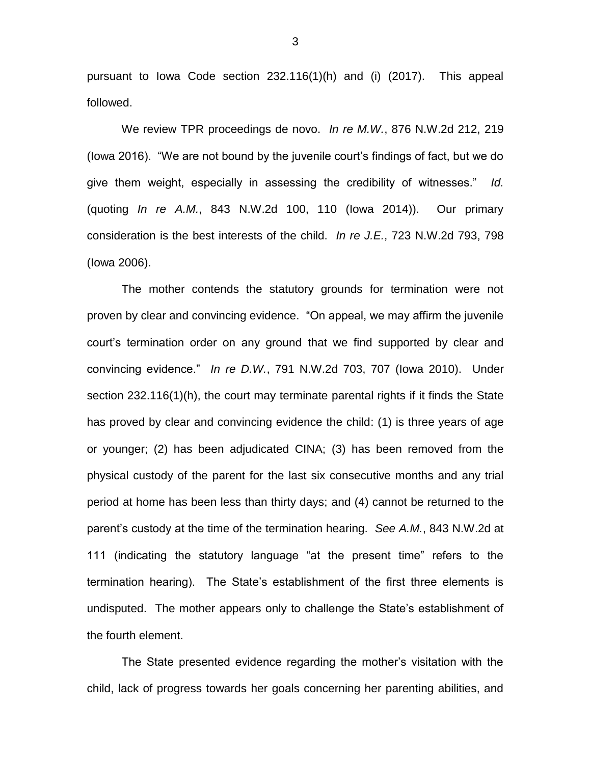pursuant to Iowa Code section 232.116(1)(h) and (i) (2017). This appeal followed.

We review TPR proceedings de novo. *In re M.W.*, 876 N.W.2d 212, 219 (Iowa 2016). "We are not bound by the juvenile court's findings of fact, but we do give them weight, especially in assessing the credibility of witnesses." *Id.*  (quoting *In re A.M.*, 843 N.W.2d 100, 110 (Iowa 2014)). Our primary consideration is the best interests of the child. *In re J.E.*, 723 N.W.2d 793, 798 (Iowa 2006).

The mother contends the statutory grounds for termination were not proven by clear and convincing evidence. "On appeal, we may affirm the juvenile court's termination order on any ground that we find supported by clear and convincing evidence." *In re D.W.*, 791 N.W.2d 703, 707 (Iowa 2010). Under section 232.116(1)(h), the court may terminate parental rights if it finds the State has proved by clear and convincing evidence the child: (1) is three years of age or younger; (2) has been adjudicated CINA; (3) has been removed from the physical custody of the parent for the last six consecutive months and any trial period at home has been less than thirty days; and (4) cannot be returned to the parent's custody at the time of the termination hearing. *See A.M.*, 843 N.W.2d at 111 (indicating the statutory language "at the present time" refers to the termination hearing). The State's establishment of the first three elements is undisputed. The mother appears only to challenge the State's establishment of the fourth element.

The State presented evidence regarding the mother's visitation with the child, lack of progress towards her goals concerning her parenting abilities, and

3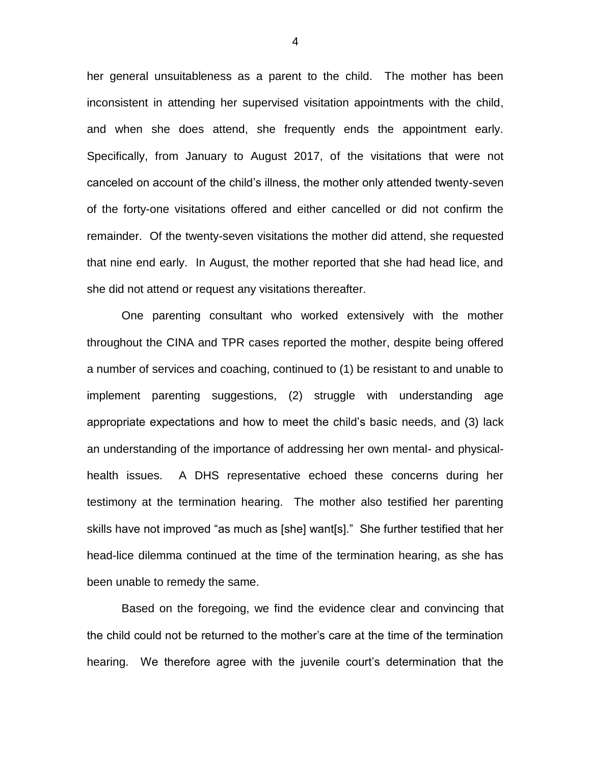her general unsuitableness as a parent to the child. The mother has been inconsistent in attending her supervised visitation appointments with the child, and when she does attend, she frequently ends the appointment early. Specifically, from January to August 2017, of the visitations that were not canceled on account of the child's illness, the mother only attended twenty-seven of the forty-one visitations offered and either cancelled or did not confirm the remainder. Of the twenty-seven visitations the mother did attend, she requested that nine end early. In August, the mother reported that she had head lice, and she did not attend or request any visitations thereafter.

One parenting consultant who worked extensively with the mother throughout the CINA and TPR cases reported the mother, despite being offered a number of services and coaching, continued to (1) be resistant to and unable to implement parenting suggestions, (2) struggle with understanding age appropriate expectations and how to meet the child's basic needs, and (3) lack an understanding of the importance of addressing her own mental- and physicalhealth issues. A DHS representative echoed these concerns during her testimony at the termination hearing. The mother also testified her parenting skills have not improved "as much as [she] want[s]." She further testified that her head-lice dilemma continued at the time of the termination hearing, as she has been unable to remedy the same.

Based on the foregoing, we find the evidence clear and convincing that the child could not be returned to the mother's care at the time of the termination hearing. We therefore agree with the juvenile court's determination that the

4